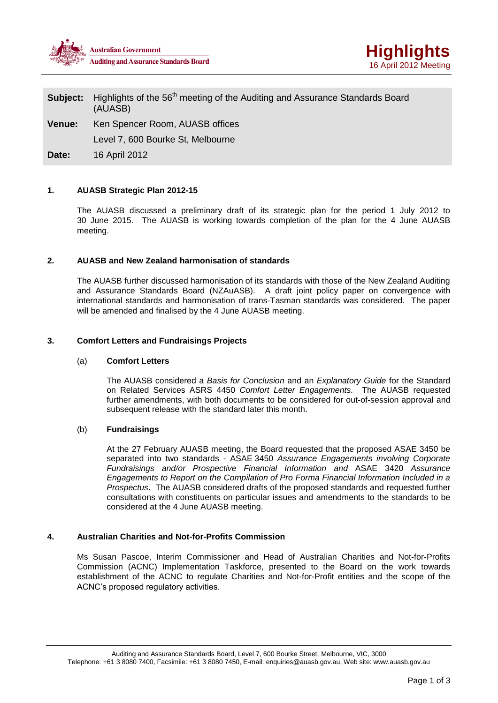



# **Subject:** Highlights of the 56<sup>th</sup> meeting of the Auditing and Assurance Standards Board (AUASB)

**Venue:** Ken Spencer Room, AUASB offices

Level 7, 600 Bourke St, Melbourne

**Date:** 16 April 2012

# **1. AUASB Strategic Plan 2012-15**

The AUASB discussed a preliminary draft of its strategic plan for the period 1 July 2012 to 30 June 2015. The AUASB is working towards completion of the plan for the 4 June AUASB meeting.

# **2. AUASB and New Zealand harmonisation of standards**

The AUASB further discussed harmonisation of its standards with those of the New Zealand Auditing and Assurance Standards Board (NZAuASB). A draft joint policy paper on convergence with international standards and harmonisation of trans-Tasman standards was considered. The paper will be amended and finalised by the 4 June AUASB meeting.

# **3. Comfort Letters and Fundraisings Projects**

### (a) **Comfort Letters**

The AUASB considered a *Basis for Conclusion* and an *Explanatory Guide* for the Standard on Related Services ASRS 4450 *Comfort Letter Engagements.* The AUASB requested further amendments, with both documents to be considered for out-of-session approval and subsequent release with the standard later this month.

### (b) **Fundraisings**

At the 27 February AUASB meeting, the Board requested that the proposed ASAE 3450 be separated into two standards - ASAE 3450 *Assurance Engagements involving Corporate Fundraisings and/or Prospective Financial Information and* ASAE 3420 *Assurance Engagements to Report on the Compilation of Pro Forma Financial Information Included in a Prospectus*. The AUASB considered drafts of the proposed standards and requested further consultations with constituents on particular issues and amendments to the standards to be considered at the 4 June AUASB meeting.

### **4. Australian Charities and Not-for-Profits Commission**

Ms Susan Pascoe, Interim Commissioner and Head of Australian Charities and Not-for-Profits Commission (ACNC) Implementation Taskforce, presented to the Board on the work towards establishment of the ACNC to regulate Charities and Not-for-Profit entities and the scope of the ACNC's proposed regulatory activities.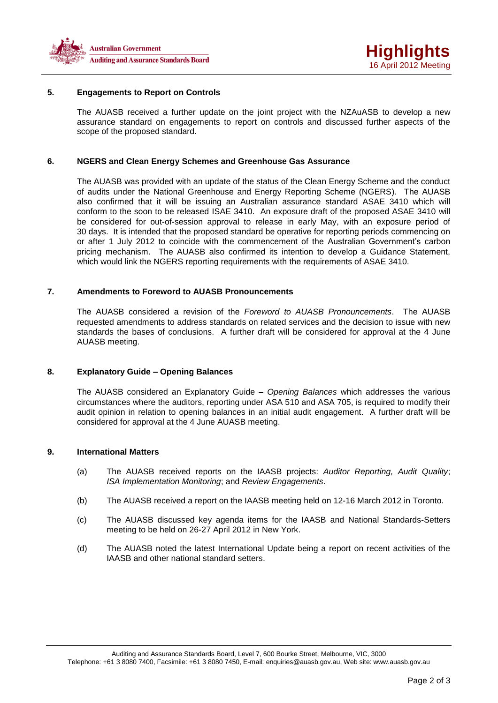

# **5. Engagements to Report on Controls**

The AUASB received a further update on the joint project with the NZAuASB to develop a new assurance standard on engagements to report on controls and discussed further aspects of the scope of the proposed standard.

#### **6. NGERS and Clean Energy Schemes and Greenhouse Gas Assurance**

The AUASB was provided with an update of the status of the Clean Energy Scheme and the conduct of audits under the National Greenhouse and Energy Reporting Scheme (NGERS). The AUASB also confirmed that it will be issuing an Australian assurance standard ASAE 3410 which will conform to the soon to be released ISAE 3410. An exposure draft of the proposed ASAE 3410 will be considered for out-of-session approval to release in early May, with an exposure period of 30 days. It is intended that the proposed standard be operative for reporting periods commencing on or after 1 July 2012 to coincide with the commencement of the Australian Government's carbon pricing mechanism. The AUASB also confirmed its intention to develop a Guidance Statement, which would link the NGERS reporting requirements with the requirements of ASAE 3410.

### **7. Amendments to Foreword to AUASB Pronouncements**

The AUASB considered a revision of the *Foreword to AUASB Pronouncements*. The AUASB requested amendments to address standards on related services and the decision to issue with new standards the bases of conclusions. A further draft will be considered for approval at the 4 June AUASB meeting.

# **8. Explanatory Guide – Opening Balances**

The AUASB considered an Explanatory Guide – *Opening Balances* which addresses the various circumstances where the auditors, reporting under ASA 510 and ASA 705, is required to modify their audit opinion in relation to opening balances in an initial audit engagement. A further draft will be considered for approval at the 4 June AUASB meeting.

#### **9. International Matters**

- (a) The AUASB received reports on the IAASB projects: *Auditor Reporting, Audit Quality*; *ISA Implementation Monitoring*; and *Review Engagements*.
- (b) The AUASB received a report on the IAASB meeting held on 12-16 March 2012 in Toronto.
- (c) The AUASB discussed key agenda items for the IAASB and National Standards-Setters meeting to be held on 26-27 April 2012 in New York.
- (d) The AUASB noted the latest International Update being a report on recent activities of the IAASB and other national standard setters.